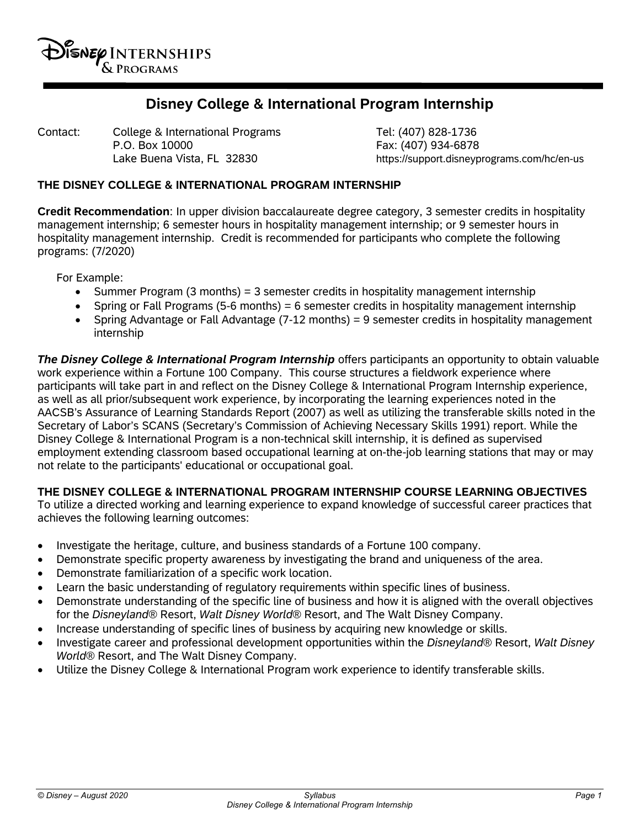

# **Disney College & International Program Internship**

Contact: College & International Programs Tel: (407) 828-1736 P.O. Box 10000 Fax: (407) 934-6878

Lake Buena Vista, FL 32830 https://support.disneyprograms.com/hc/en-us

#### **THE DISNEY COLLEGE & INTERNATIONAL PROGRAM INTERNSHIP**

**Credit Recommendation**: In upper division baccalaureate degree category, 3 semester credits in hospitality management internship; 6 semester hours in hospitality management internship; or 9 semester hours in hospitality management internship. Credit is recommended for participants who complete the following programs: (7/2020)

For Example:

- Summer Program (3 months) = 3 semester credits in hospitality management internship
- Spring or Fall Programs (5-6 months) = 6 semester credits in hospitality management internship
- Spring Advantage or Fall Advantage (7-12 months) = 9 semester credits in hospitality management internship

**The Disney College & International Program Internship** offers participants an opportunity to obtain valuable work experience within a Fortune 100 Company. This course structures a fieldwork experience where participants will take part in and reflect on the Disney College & International Program Internship experience, as well as all prior/subsequent work experience, by incorporating the learning experiences noted in the AACSB's Assurance of Learning Standards Report (2007) as well as utilizing the transferable skills noted in the Secretary of Labor's SCANS (Secretary's Commission of Achieving Necessary Skills 1991) report. While the Disney College & International Program is a non-technical skill internship, it is defined as supervised employment extending classroom based occupational learning at on-the-job learning stations that may or may not relate to the participants' educational or occupational goal.

#### **THE DISNEY COLLEGE & INTERNATIONAL PROGRAM INTERNSHIP COURSE LEARNING OBJECTIVES**

To utilize a directed working and learning experience to expand knowledge of successful career practices that achieves the following learning outcomes:

- Investigate the heritage, culture, and business standards of a Fortune 100 company.
- Demonstrate specific property awareness by investigating the brand and uniqueness of the area.
- Demonstrate familiarization of a specific work location.
- Learn the basic understanding of regulatory requirements within specific lines of business.
- Demonstrate understanding of the specific line of business and how it is aligned with the overall objectives for the *Disneyland®* Resort, *Walt Disney World®* Resort, and The Walt Disney Company.
- Increase understanding of specific lines of business by acquiring new knowledge or skills.
- Investigate career and professional development opportunities within the *Disneyland®* Resort, *Walt Disney World®* Resort, and The Walt Disney Company.
- Utilize the Disney College & International Program work experience to identify transferable skills.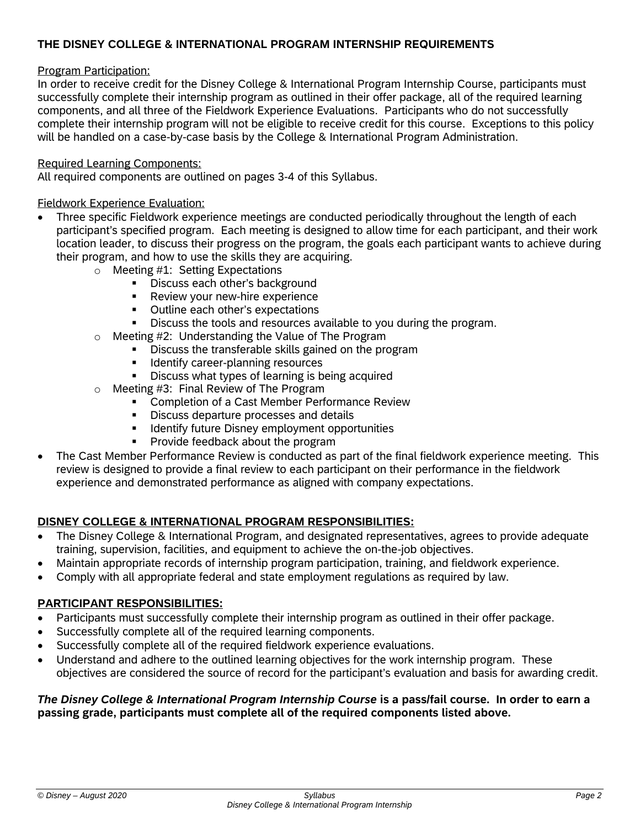## **THE DISNEY COLLEGE & INTERNATIONAL PROGRAM INTERNSHIP REQUIREMENTS**

#### Program Participation:

In order to receive credit for the Disney College & International Program Internship Course, participants must successfully complete their internship program as outlined in their offer package, all of the required learning components, and all three of the Fieldwork Experience Evaluations. Participants who do not successfully complete their internship program will not be eligible to receive credit for this course. Exceptions to this policy will be handled on a case-by-case basis by the College & International Program Administration.

#### Required Learning Components:

All required components are outlined on pages 3-4 of this Syllabus.

## Fieldwork Experience Evaluation:

- Three specific Fieldwork experience meetings are conducted periodically throughout the length of each participant's specified program. Each meeting is designed to allow time for each participant, and their work location leader, to discuss their progress on the program, the goals each participant wants to achieve during their program, and how to use the skills they are acquiring.
	- o Meeting #1: Setting Expectations
		- Discuss each other's background
		- **Review your new-hire experience**
		- **•** Outline each other's expectations
		- Discuss the tools and resources available to you during the program.
	- $\circ$  Meeting #2: Understanding the Value of The Program<br>  $\bullet$  Discuss the transferable skills gained on the pro
		- Discuss the transferable skills gained on the program
		- **IDENT** Identify career-planning resources<br>**IDENT** Discuss what types of learning is b
		- Discuss what types of learning is being acquired
	- $\circ$  Meeting #3: Final Review of The Program
		- **EXECOMPLERIGHT OF A CAST Member Performance Review**
		- **•** Discuss departure processes and details
		- **IDENTIFY FUTURE DISTIELY EMPLOYMENT OPPORTUNITIES**
		- Provide feedback about the program
- The Cast Member Performance Review is conducted as part of the final fieldwork experience meeting. This review is designed to provide a final review to each participant on their performance in the fieldwork experience and demonstrated performance as aligned with company expectations.

## **DISNEY COLLEGE & INTERNATIONAL PROGRAM RESPONSIBILITIES:**

- The Disney College & International Program, and designated representatives, agrees to provide adequate training, supervision, facilities, and equipment to achieve the on-the-job objectives.
- Maintain appropriate records of internship program participation, training, and fieldwork experience.
- Comply with all appropriate federal and state employment regulations as required by law.

#### **PARTICIPANT RESPONSIBILITIES:**

- Participants must successfully complete their internship program as outlined in their offer package.
- Successfully complete all of the required learning components.
- Successfully complete all of the required fieldwork experience evaluations.
- Understand and adhere to the outlined learning objectives for the work internship program. These objectives are considered the source of record for the participant's evaluation and basis for awarding credit.

#### *The Disney College & International Program Internship Course* **is a pass/fail course. In order to earn a passing grade, participants must complete all of the required components listed above.**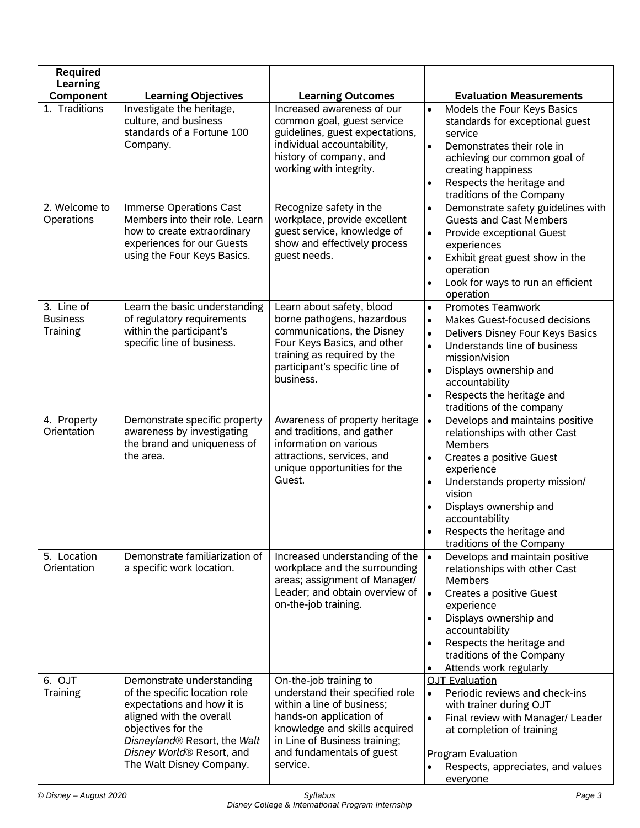| <b>Required</b>                                  |                                                                                                                                                                                                                                     |                                                                                                                                                                                                                               |                                                                                                                                                                                                                                                                                                                                     |
|--------------------------------------------------|-------------------------------------------------------------------------------------------------------------------------------------------------------------------------------------------------------------------------------------|-------------------------------------------------------------------------------------------------------------------------------------------------------------------------------------------------------------------------------|-------------------------------------------------------------------------------------------------------------------------------------------------------------------------------------------------------------------------------------------------------------------------------------------------------------------------------------|
| <b>Learning</b><br>Component                     | <b>Learning Objectives</b>                                                                                                                                                                                                          | <b>Learning Outcomes</b>                                                                                                                                                                                                      | <b>Evaluation Measurements</b>                                                                                                                                                                                                                                                                                                      |
| 1. Traditions                                    | Investigate the heritage,                                                                                                                                                                                                           | Increased awareness of our                                                                                                                                                                                                    | Models the Four Keys Basics<br>$\bullet$                                                                                                                                                                                                                                                                                            |
|                                                  | culture, and business<br>standards of a Fortune 100<br>Company.                                                                                                                                                                     | common goal, guest service<br>guidelines, guest expectations,<br>individual accountability,<br>history of company, and<br>working with integrity.                                                                             | standards for exceptional guest<br>service<br>Demonstrates their role in<br>$\bullet$<br>achieving our common goal of<br>creating happiness<br>Respects the heritage and<br>traditions of the Company                                                                                                                               |
| 2. Welcome to<br>Operations                      | Immerse Operations Cast<br>Members into their role. Learn<br>how to create extraordinary<br>experiences for our Guests<br>using the Four Keys Basics.                                                                               | Recognize safety in the<br>workplace, provide excellent<br>guest service, knowledge of<br>show and effectively process<br>guest needs.                                                                                        | Demonstrate safety guidelines with<br>$\bullet$<br><b>Guests and Cast Members</b><br>$\bullet$<br>Provide exceptional Guest<br>experiences<br>Exhibit great guest show in the<br>$\bullet$<br>operation<br>Look for ways to run an efficient<br>operation                                                                           |
| 3. Line of<br><b>Business</b><br><b>Training</b> | Learn the basic understanding<br>of regulatory requirements<br>within the participant's<br>specific line of business.                                                                                                               | Learn about safety, blood<br>borne pathogens, hazardous<br>communications, the Disney<br>Four Keys Basics, and other<br>training as required by the<br>participant's specific line of<br>business.                            | <b>Promotes Teamwork</b><br>$\bullet$<br>$\bullet$<br>Makes Guest-focused decisions<br>Delivers Disney Four Keys Basics<br>$\bullet$<br>Understands line of business<br>$\bullet$<br>mission/vision<br>Displays ownership and<br>$\bullet$<br>accountability<br>Respects the heritage and<br>$\bullet$<br>traditions of the company |
| 4. Property<br>Orientation                       | Demonstrate specific property<br>awareness by investigating<br>the brand and uniqueness of<br>the area.                                                                                                                             | Awareness of property heritage<br>and traditions, and gather<br>information on various<br>attractions, services, and<br>unique opportunities for the<br>Guest.                                                                | Develops and maintains positive<br>$\bullet$<br>relationships with other Cast<br>Members<br>$\bullet$<br>Creates a positive Guest<br>experience<br>Understands property mission/<br>$\bullet$<br>vision<br>Displays ownership and<br>accountability<br>Respects the heritage and<br>traditions of the Company                       |
| 5. Location<br>Orientation                       | Demonstrate familiarization of<br>a specific work location.                                                                                                                                                                         | Increased understanding of the<br>workplace and the surrounding<br>areas; assignment of Manager/<br>Leader; and obtain overview of<br>on-the-job training.                                                                    | Develops and maintain positive<br>$\bullet$<br>relationships with other Cast<br><b>Members</b><br>$\bullet$<br>Creates a positive Guest<br>experience<br>Displays ownership and<br>$\bullet$<br>accountability<br>Respects the heritage and<br>$\bullet$<br>traditions of the Company<br>Attends work regularly<br>$\bullet$        |
| 6. OJT<br>Training                               | Demonstrate understanding<br>of the specific location role<br>expectations and how it is<br>aligned with the overall<br>objectives for the<br>Disneyland® Resort, the Walt<br>Disney World® Resort, and<br>The Walt Disney Company. | On-the-job training to<br>understand their specified role<br>within a line of business;<br>hands-on application of<br>knowledge and skills acquired<br>in Line of Business training;<br>and fundamentals of guest<br>service. | <b>OJT Evaluation</b><br>Periodic reviews and check-ins<br>$\bullet$<br>with trainer during OJT<br>Final review with Manager/ Leader<br>$\bullet$<br>at completion of training<br><b>Program Evaluation</b><br>Respects, appreciates, and values<br>everyone                                                                        |